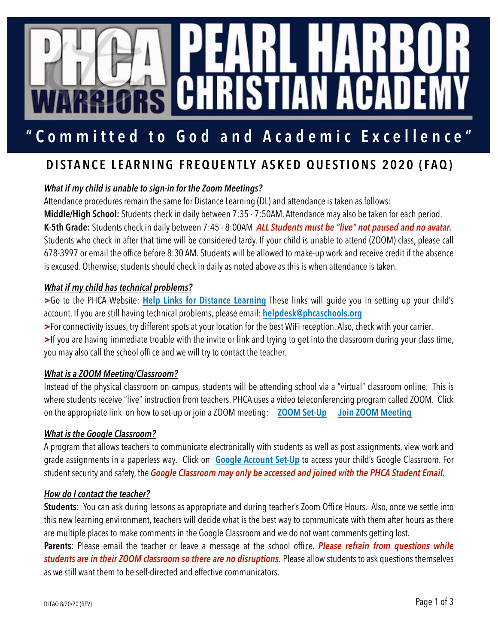# cci C

#### Committed **"Committed to God and Academic Excellence"**

# **DISTANCE LEARNING FREQUENTLY ASKED QUESTIONS 2020 (FAQ)**

# *What if my child is unable to sign-in for the Zoom Meetings?*

Attendance procedures remain the same for Distance Learning (DL) and attendance is taken as follows:

**Middle/High School:** Students check in daily between 7:35 - 7:50AM. Attendance may also be taken for each period. **K-5th Grade:** Students check in daily between 7:45 - 8:00AM *ALL Students must be "live" not paused and no avatar.* Students who check in after that time will be considered tardy. If your child is unable to attend (ZOOM) class, please call 678-3997 or email the office before 8:30 AM. Students will be allowed to make-up work and receive credit if the absence is excused. Otherwise, students should check in daily as noted above as this is when attendance is taken.

# *What if my child has technical problems?*

**>**Go to the PHCA Website: **[Help Links for Distance Learning](https://pearlharborchristianacademy.com/the-phca-experience/reopening/)** These links will guide you in setting up your child's account. If you are still having technical problems, please email: **[helpdesk@phcaschools.org](mailto:helpdesk@phcaschools.org)**

**>**For connectivity issues, try different spots at your location for the best WiFi reception. Also, check with your carrier.

**>**If you are having immediate trouble with the invite or link and trying to get into the classroom during your class time, you may also call the school offi ce and we will try to contact the teacher.

# *What is a ZOOM Meeting/Classroom?*

Instead of the physical classroom on campus, students will be attending school via a "virtual" classroom online. This is where students receive "live" instruction from teachers. PHCA uses a video teleconferencing program called ZOOM. Click on the appropriate link on how to set-up or join a ZOOM meeting: **[ZOOM Set-Up](https://0e9462d796d455d15d7b-f22d015487dd186b89146e618fed4472.ssl.cf2.rackcdn.com/uploaded/z/0e10056677_1585723837_zoom-account-set-up.pdf) [Join ZOOM Meeting](https://youtu.be/L9jxyZiLyco)**

#### *What is the Google Classroom?*

A program that allows teachers to communicate electronically with students as well as post assignments, view work and grade assignments in a paperless way. Click on **[Google Account Set-Up](https://0e9462d796d455d15d7b-f22d015487dd186b89146e618fed4472.ssl.cf2.rackcdn.com/uploaded/g/0e10056676_1585723802_google-account-set-up.pdf)** to access your child's Google Classroom. For student security and safety, the *Google Classroom may only be accessed and joined with the PHCA Student Email.*

#### *How do I contact the teacher?*

**Students**: You can ask during lessons as appropriate and during teacher's Zoom Office Hours. Also, once we settle into this new learning environment, teachers will decide what is the best way to communicate with them after hours as there are multiple places to make comments in the Google Classroom and we do not want comments getting lost.

**Parents**: Please email the teacher or leave a message at the school office. *Please refrain from questions while students are in their ZOOM classroom so there are no disruptions.* Please allow students to ask questions themselves as we still want them to be self-directed and effective communicators.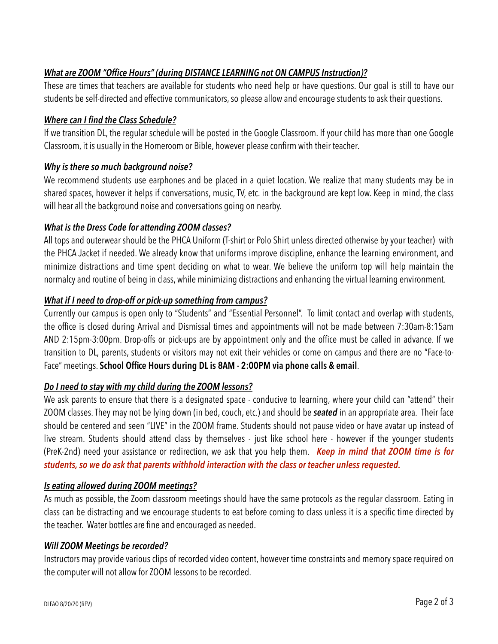# *What are ZOOM "Office Hours" (during DISTANCE LEARNING not ON CAMPUS Instruction)?*

These are times that teachers are available for students who need help or have questions. Our goal is still to have our students be self-directed and effective communicators, so please allow and encourage students to ask their questions.

#### *Where can I find the Class Schedule?*

If we transition DL, the regular schedule will be posted in the Google Classroom. If your child has more than one Google Classroom, it is usually in the Homeroom or Bible, however please confirm with their teacher.

#### *Why is there so much background noise?*

We recommend students use earphones and be placed in a quiet location. We realize that many students may be in shared spaces, however it helps if conversations, music, TV, etc. in the background are kept low. Keep in mind, the class will hear all the background noise and conversations going on nearby.

#### *What is the Dress Code for attending ZOOM classes?*

All tops and outerwear should be the PHCA Uniform (T-shirt or Polo Shirt unless directed otherwise by your teacher) with the PHCA Jacket if needed. We already know that uniforms improve discipline, enhance the learning environment, and minimize distractions and time spent deciding on what to wear. We believe the uniform top will help maintain the normalcy and routine of being in class, while minimizing distractions and enhancing the virtual learning environment.

#### *What if I need to drop-off or pick-up something from campus?*

Currently our campus is open only to "Students" and "Essential Personnel". To limit contact and overlap with students, the office is closed during Arrival and Dismissal times and appointments will not be made between 7:30am-8:15am AND 2:15pm-3:00pm. Drop-offs or pick-ups are by appointment only and the office must be called in advance. If we transition to DL, parents, students or visitors may not exit their vehicles or come on campus and there are no "Face-to-Face" meetings. **School Office Hours during DL is 8AM - 2:00PM via phone calls & email**.

# *Do I need to stay with my child during the ZOOM lessons?*

We ask parents to ensure that there is a designated space - conducive to learning, where your child can "attend" their ZOOM classes. They may not be lying down (in bed, couch, etc.) and should be *seated* in an appropriate area. Their face should be centered and seen "LIVE" in the ZOOM frame. Students should not pause video or have avatar up instead of live stream. Students should attend class by themselves - just like school here - however if the younger students (PreK-2nd) need your assistance or redirection, we ask that you help them. *Keep in mind that ZOOM time is for students, so we do ask that parents withhold interaction with the class or teacher unless requested.*

#### *Is eating allowed during ZOOM meetings?*

As much as possible, the Zoom classroom meetings should have the same protocols as the regular classroom. Eating in class can be distracting and we encourage students to eat before coming to class unless it is a specific time directed by the teacher. Water bottles are fine and encouraged as needed.

#### *Will ZOOM Meetings be recorded?*

Instructors may provide various clips of recorded video content, however time constraints and memory space required on the computer will not allow for ZOOM lessons to be recorded.